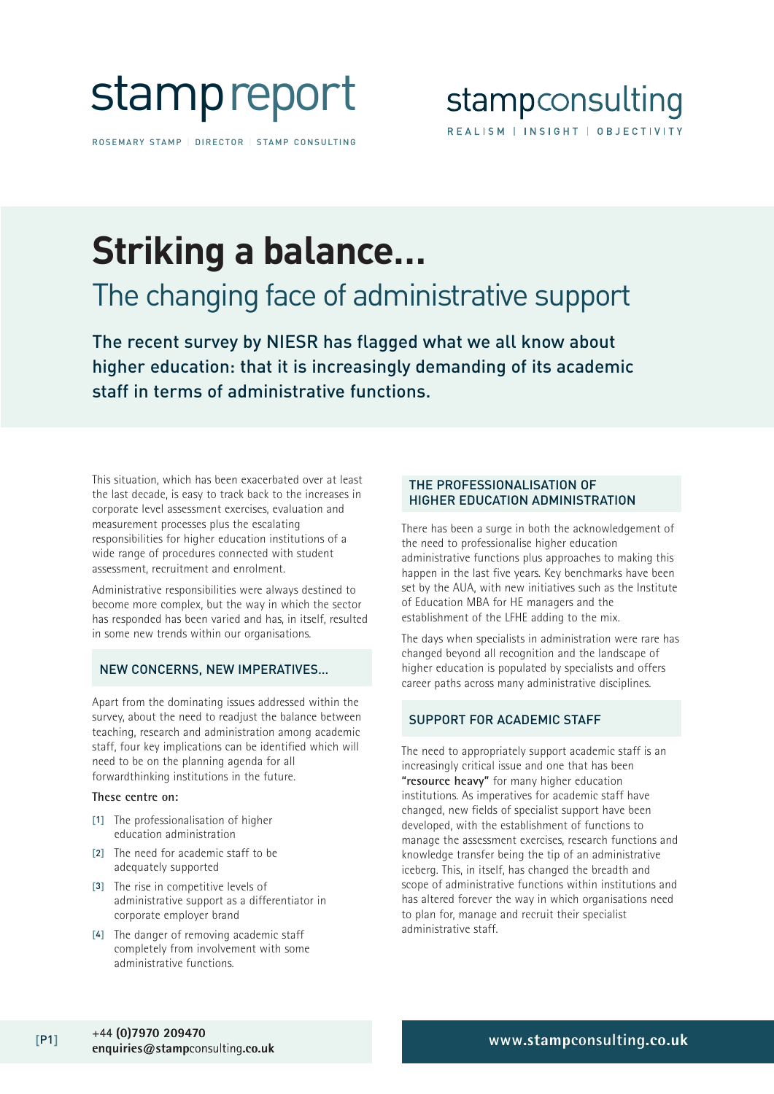

ROSEMARY STAMP | DIRECTOR | STAMP CONSULTING

# **Striking a balance…**

### The changing face of administrative support

The recent survey by NIESR has flagged what we all know about higher education: that it is increasingly demanding of its academic staff in terms of administrative functions.

This situation, which has been exacerbated over at least the last decade, is easy to track back to the increases in corporate level assessment exercises, evaluation and measurement processes plus the escalating responsibilities for higher education institutions of a wide range of procedures connected with student assessment, recruitment and enrolment.

Administrative responsibilities were always destined to become more complex, but the way in which the sector has responded has been varied and has, in itself, resulted in some new trends within our organisations.

#### NEW CONCERNS, NEW IMPERATIVES…

Apart from the dominating issues addressed within the survey, about the need to readjust the balance between teaching, research and administration among academic staff, four key implications can be identified which will need to be on the planning agenda for all forwardthinking institutions in the future.

#### **These centre on:**

- [1] The professionalisation of higher education administration
- [2] The need for academic staff to be adequately supported
- [3] The rise in competitive levels of administrative support as a differentiator in corporate employer brand
- [4] The danger of removing academic staff completely from involvement with some administrative functions.

#### THE PROFESSIONALISATION OF HIGHER EDUCATION ADMINISTRATION

There has been a surge in both the acknowledgement of the need to professionalise higher education administrative functions plus approaches to making this happen in the last five years. Key benchmarks have been set by the AUA, with new initiatives such as the Institute of Education MBA for HE managers and the establishment of the LFHE adding to the mix.

The days when specialists in administration were rare has changed beyond all recognition and the landscape of higher education is populated by specialists and offers career paths across many administrative disciplines.

#### SUPPORT FOR ACADEMIC STAFF

The need to appropriately support academic staff is an increasingly critical issue and one that has been **"resource heavy"** for many higher education institutions. As imperatives for academic staff have changed, new fields of specialist support have been developed, with the establishment of functions to manage the assessment exercises, research functions and knowledge transfer being the tip of an administrative iceberg. This, in itself, has changed the breadth and scope of administrative functions within institutions and has altered forever the way in which organisations need to plan for, manage and recruit their specialist administrative staff.